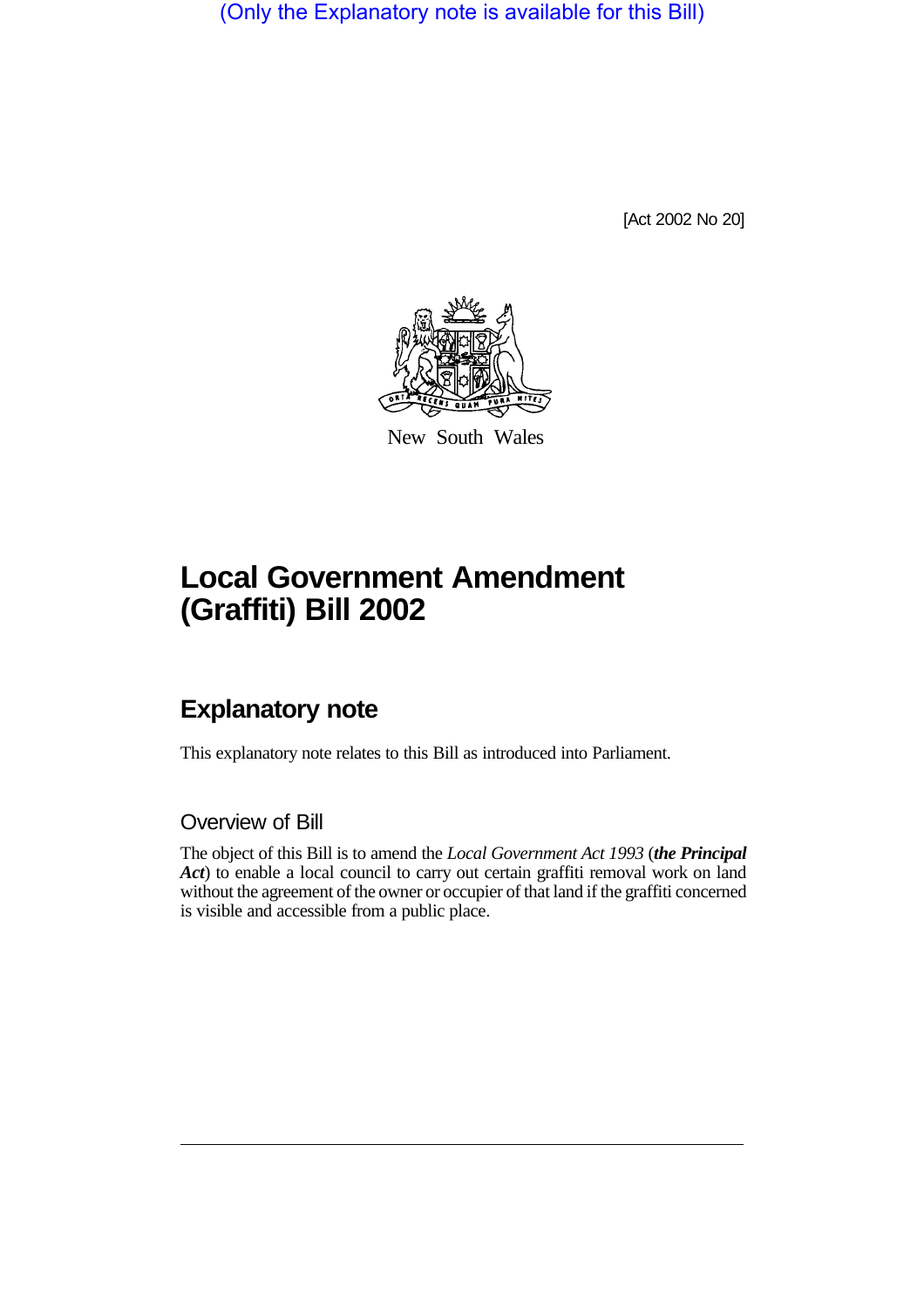(Only the Explanatory note is available for this Bill)

[Act 2002 No 20]



New South Wales

## **Local Government Amendment (Graffiti) Bill 2002**

## **Explanatory note**

This explanatory note relates to this Bill as introduced into Parliament.

Overview of Bill

The object of this Bill is to amend the *Local Government Act 1993* (*the Principal Act*) to enable a local council to carry out certain graffiti removal work on land without the agreement of the owner or occupier of that land if the graffiti concerned is visible and accessible from a public place.